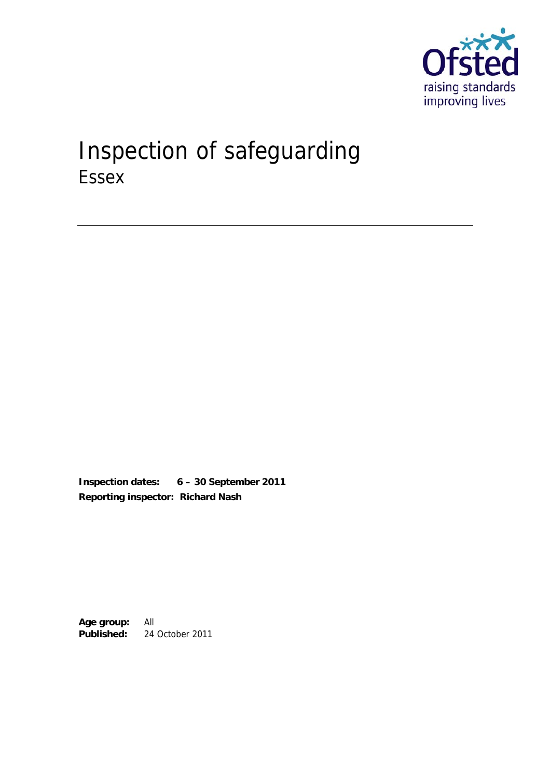

# Inspection of safeguarding Essex

**Inspection dates: 6 – 30 September 2011 Reporting inspector: Richard Nash** 

**Age group:** All **Published:** 24 October 2011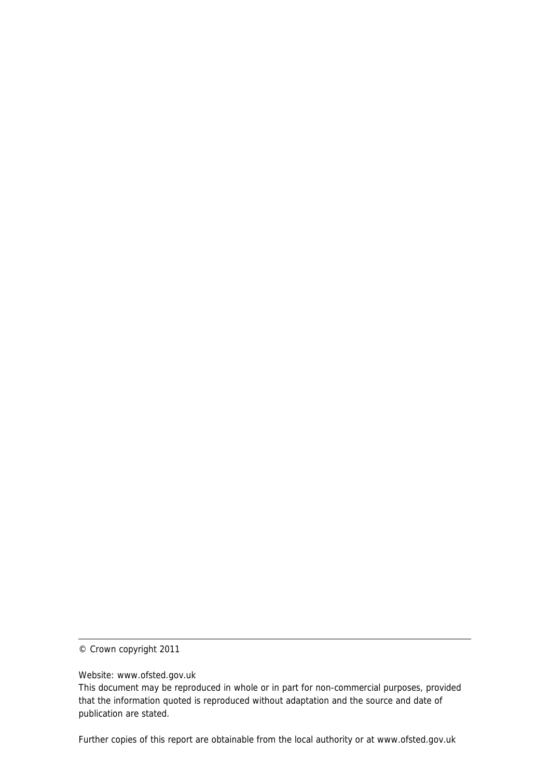© Crown copyright 2011

Website: www.ofsted.gov.uk

This document may be reproduced in whole or in part for non-commercial purposes, provided that the information quoted is reproduced without adaptation and the source and date of publication are stated.

Further copies of this report are obtainable from the local authority or at www.ofsted.gov.uk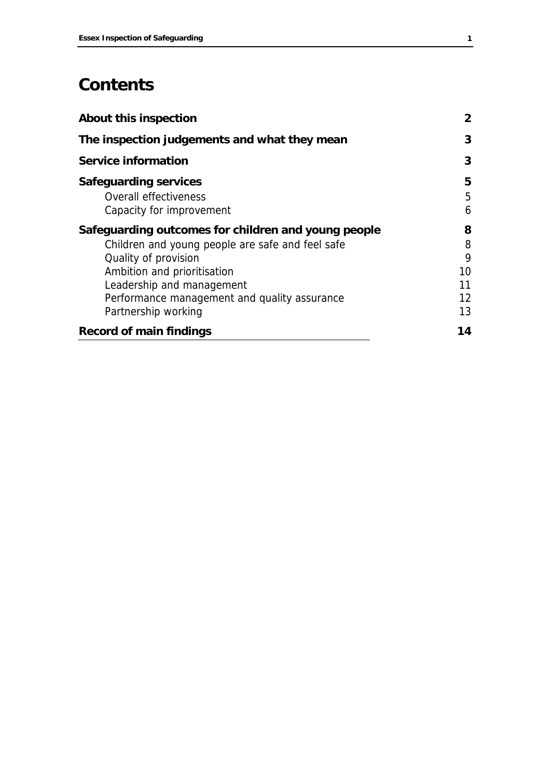## **Contents**

| <b>About this inspection</b>                                                                                                                                                                                                                                       | $\mathbf{2}$                        |
|--------------------------------------------------------------------------------------------------------------------------------------------------------------------------------------------------------------------------------------------------------------------|-------------------------------------|
| The inspection judgements and what they mean                                                                                                                                                                                                                       | 3                                   |
| <b>Service information</b>                                                                                                                                                                                                                                         | 3                                   |
| <b>Safeguarding services</b><br>Overall effectiveness<br>Capacity for improvement                                                                                                                                                                                  | 5<br>5<br>6                         |
| Safeguarding outcomes for children and young people<br>Children and young people are safe and feel safe<br>Quality of provision<br>Ambition and prioritisation<br>Leadership and management<br>Performance management and quality assurance<br>Partnership working | 8<br>8<br>9<br>10<br>11<br>12<br>13 |
| <b>Record of main findings</b>                                                                                                                                                                                                                                     | 14                                  |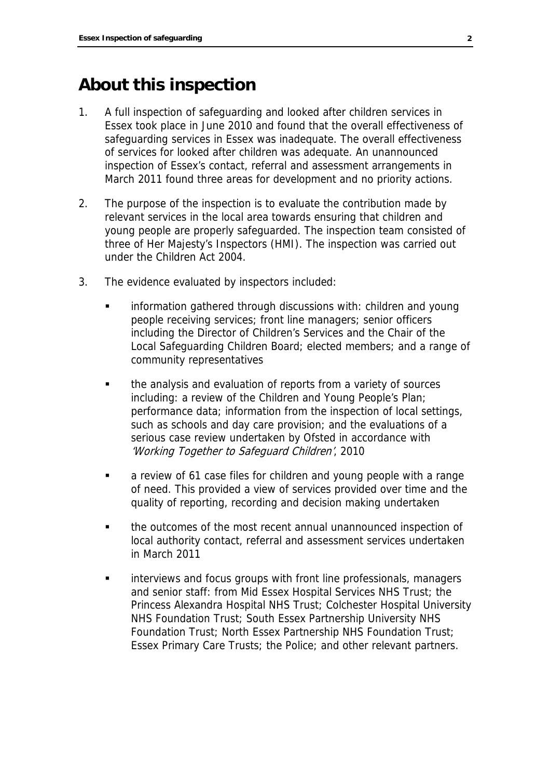## **About this inspection**

- 1. A full inspection of safeguarding and looked after children services in Essex took place in June 2010 and found that the overall effectiveness of safeguarding services in Essex was inadequate. The overall effectiveness of services for looked after children was adequate. An unannounced inspection of Essex's contact, referral and assessment arrangements in March 2011 found three areas for development and no priority actions.
- 2. The purpose of the inspection is to evaluate the contribution made by relevant services in the local area towards ensuring that children and young people are properly safeguarded. The inspection team consisted of three of Her Majesty's Inspectors (HMI). The inspection was carried out under the Children Act 2004.
- 3. The evidence evaluated by inspectors included:
	- information gathered through discussions with: children and young people receiving services; front line managers; senior officers including the Director of Children's Services and the Chair of the Local Safeguarding Children Board; elected members; and a range of community representatives
	- the analysis and evaluation of reports from a variety of sources including: a review of the Children and Young People's Plan; performance data; information from the inspection of local settings, such as schools and day care provision; and the evaluations of a serious case review undertaken by Ofsted in accordance with 'Working Together to Safeguard Children', 2010
	- **a** review of 61 case files for children and young people with a range of need. This provided a view of services provided over time and the quality of reporting, recording and decision making undertaken
	- the outcomes of the most recent annual unannounced inspection of local authority contact, referral and assessment services undertaken in March 2011
	- **EXEDENT** interviews and focus groups with front line professionals, managers and senior staff: from Mid Essex Hospital Services NHS Trust; the Princess Alexandra Hospital NHS Trust; Colchester Hospital University NHS Foundation Trust; South Essex Partnership University NHS Foundation Trust; North Essex Partnership NHS Foundation Trust; Essex Primary Care Trusts; the Police; and other relevant partners.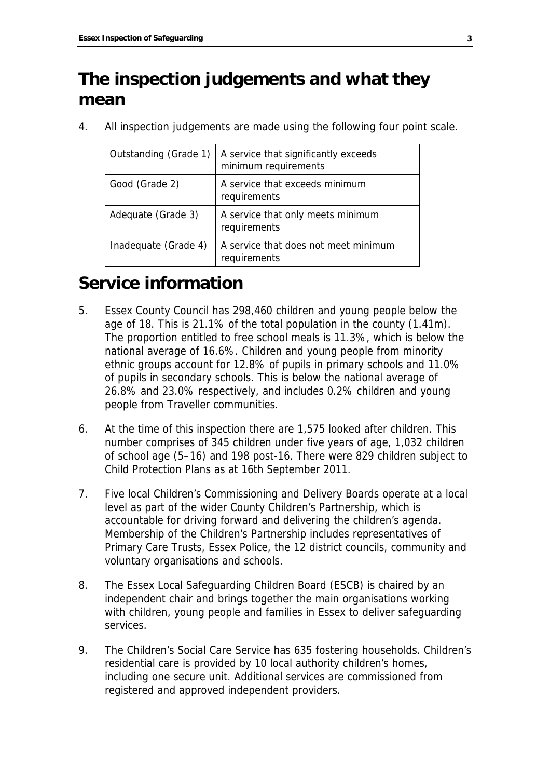## **The inspection judgements and what they mean**

4. All inspection judgements are made using the following four point scale.

| Outstanding (Grade 1) | A service that significantly exceeds<br>minimum requirements |
|-----------------------|--------------------------------------------------------------|
| Good (Grade 2)        | A service that exceeds minimum<br>requirements               |
| Adequate (Grade 3)    | A service that only meets minimum<br>requirements            |
| Inadequate (Grade 4)  | A service that does not meet minimum<br>requirements         |

## **Service information**

- 5. Essex County Council has 298,460 children and young people below the age of 18. This is 21.1% of the total population in the county (1.41m). The proportion entitled to free school meals is 11.3%, which is below the national average of 16.6%. Children and young people from minority ethnic groups account for 12.8% of pupils in primary schools and 11.0% of pupils in secondary schools. This is below the national average of 26.8% and 23.0% respectively, and includes 0.2% children and young people from Traveller communities.
- 6. At the time of this inspection there are 1,575 looked after children. This number comprises of 345 children under five years of age, 1,032 children of school age (5–16) and 198 post-16. There were 829 children subject to Child Protection Plans as at 16th September 2011.
- 7. Five local Children's Commissioning and Delivery Boards operate at a local level as part of the wider County Children's Partnership, which is accountable for driving forward and delivering the children's agenda. Membership of the Children's Partnership includes representatives of Primary Care Trusts, Essex Police, the 12 district councils, community and voluntary organisations and schools.
- 8. The Essex Local Safeguarding Children Board (ESCB) is chaired by an independent chair and brings together the main organisations working with children, young people and families in Essex to deliver safeguarding services.
- 9. The Children's Social Care Service has 635 fostering households. Children's residential care is provided by 10 local authority children's homes, including one secure unit. Additional services are commissioned from registered and approved independent providers.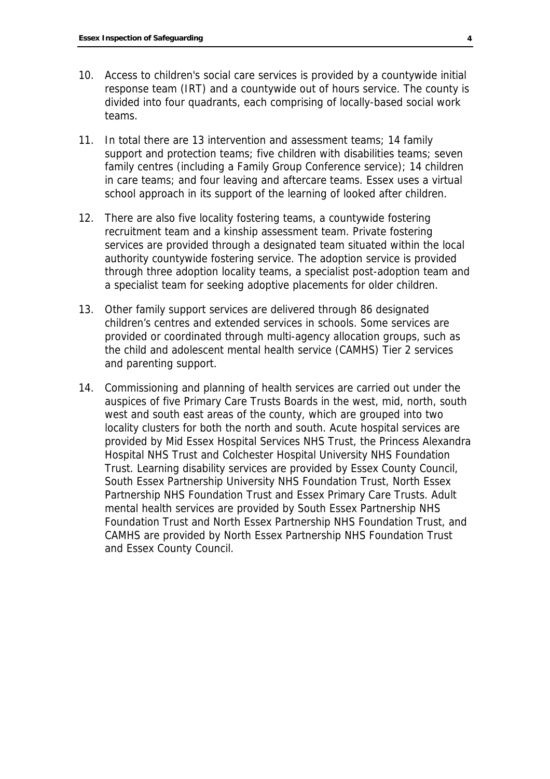- 10. Access to children's social care services is provided by a countywide initial response team (IRT) and a countywide out of hours service. The county is divided into four quadrants, each comprising of locally-based social work teams.
- 11. In total there are 13 intervention and assessment teams; 14 family support and protection teams; five children with disabilities teams; seven family centres (including a Family Group Conference service); 14 children in care teams; and four leaving and aftercare teams. Essex uses a virtual school approach in its support of the learning of looked after children.
- 12. There are also five locality fostering teams, a countywide fostering recruitment team and a kinship assessment team. Private fostering services are provided through a designated team situated within the local authority countywide fostering service. The adoption service is provided through three adoption locality teams, a specialist post-adoption team and a specialist team for seeking adoptive placements for older children.
- 13. Other family support services are delivered through 86 designated children's centres and extended services in schools. Some services are provided or coordinated through multi-agency allocation groups, such as the child and adolescent mental health service (CAMHS) Tier 2 services and parenting support.
- 14. Commissioning and planning of health services are carried out under the auspices of five Primary Care Trusts Boards in the west, mid, north, south west and south east areas of the county, which are grouped into two locality clusters for both the north and south. Acute hospital services are provided by Mid Essex Hospital Services NHS Trust, the Princess Alexandra Hospital NHS Trust and Colchester Hospital University NHS Foundation Trust. Learning disability services are provided by Essex County Council, South Essex Partnership University NHS Foundation Trust, North Essex Partnership NHS Foundation Trust and Essex Primary Care Trusts. Adult mental health services are provided by South Essex Partnership NHS Foundation Trust and North Essex Partnership NHS Foundation Trust, and CAMHS are provided by North Essex Partnership NHS Foundation Trust and Essex County Council.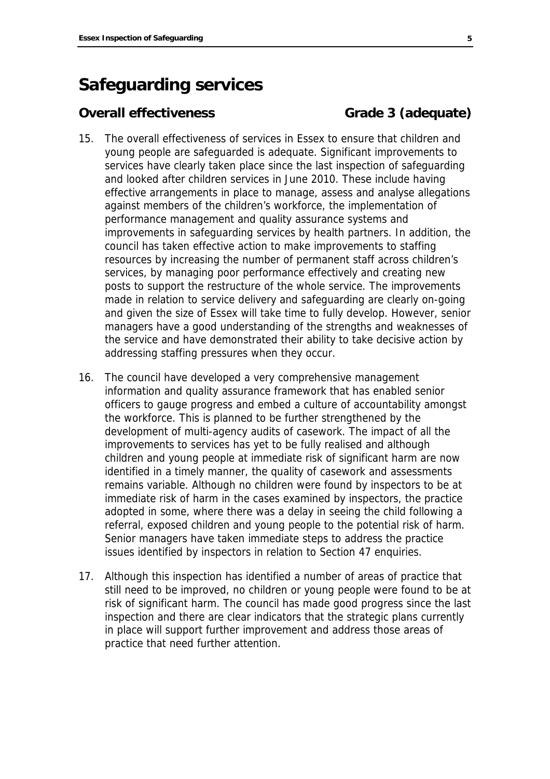## **Safeguarding services**

### **Overall effectiveness** Grade 3 (adequate)

- 15. The overall effectiveness of services in Essex to ensure that children and young people are safeguarded is adequate. Significant improvements to services have clearly taken place since the last inspection of safeguarding and looked after children services in June 2010. These include having effective arrangements in place to manage, assess and analyse allegations against members of the children's workforce, the implementation of performance management and quality assurance systems and improvements in safeguarding services by health partners. In addition, the council has taken effective action to make improvements to staffing resources by increasing the number of permanent staff across children's services, by managing poor performance effectively and creating new posts to support the restructure of the whole service. The improvements made in relation to service delivery and safeguarding are clearly on-going and given the size of Essex will take time to fully develop. However, senior managers have a good understanding of the strengths and weaknesses of the service and have demonstrated their ability to take decisive action by addressing staffing pressures when they occur.
- 16. The council have developed a very comprehensive management information and quality assurance framework that has enabled senior officers to gauge progress and embed a culture of accountability amongst the workforce. This is planned to be further strengthened by the development of multi-agency audits of casework. The impact of all the improvements to services has yet to be fully realised and although children and young people at immediate risk of significant harm are now identified in a timely manner, the quality of casework and assessments remains variable. Although no children were found by inspectors to be at immediate risk of harm in the cases examined by inspectors, the practice adopted in some, where there was a delay in seeing the child following a referral, exposed children and young people to the potential risk of harm. Senior managers have taken immediate steps to address the practice issues identified by inspectors in relation to Section 47 enquiries.
- 17. Although this inspection has identified a number of areas of practice that still need to be improved, no children or young people were found to be at risk of significant harm. The council has made good progress since the last inspection and there are clear indicators that the strategic plans currently in place will support further improvement and address those areas of practice that need further attention.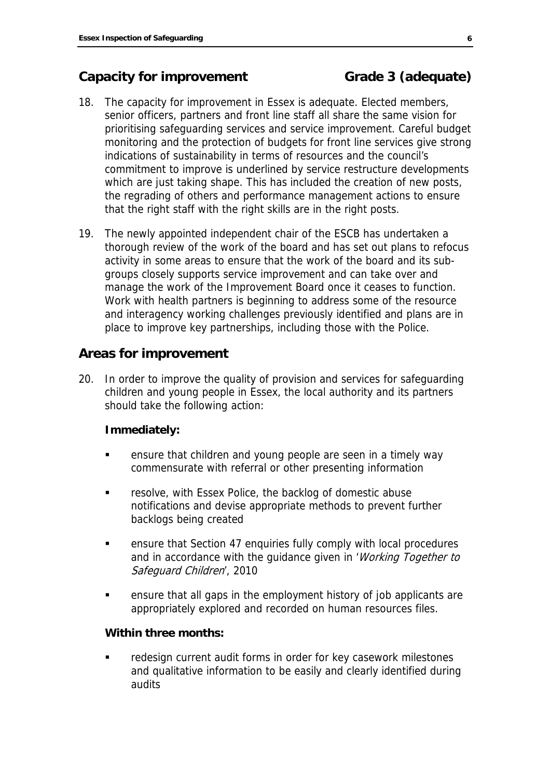## **Capacity for improvement Grade 3 (adequate)**

- 18. The capacity for improvement in Essex is adequate. Elected members, senior officers, partners and front line staff all share the same vision for prioritising safeguarding services and service improvement. Careful budget monitoring and the protection of budgets for front line services give strong indications of sustainability in terms of resources and the council's commitment to improve is underlined by service restructure developments which are just taking shape. This has included the creation of new posts, the regrading of others and performance management actions to ensure that the right staff with the right skills are in the right posts.
- 19. The newly appointed independent chair of the ESCB has undertaken a thorough review of the work of the board and has set out plans to refocus activity in some areas to ensure that the work of the board and its subgroups closely supports service improvement and can take over and manage the work of the Improvement Board once it ceases to function. Work with health partners is beginning to address some of the resource and interagency working challenges previously identified and plans are in place to improve key partnerships, including those with the Police.

## **Areas for improvement**

20. In order to improve the quality of provision and services for safeguarding children and young people in Essex, the local authority and its partners should take the following action:

### **Immediately:**

- ensure that children and young people are seen in a timely way commensurate with referral or other presenting information
- **Fall Findol** resolve, with Essex Police, the backlog of domestic abuse notifications and devise appropriate methods to prevent further backlogs being created
- ensure that Section 47 enquiries fully comply with local procedures and in accordance with the quidance given in 'Working Together to Safeguard Children', 2010
- ensure that all gaps in the employment history of job applicants are appropriately explored and recorded on human resources files.

### **Within three months:**

 redesign current audit forms in order for key casework milestones and qualitative information to be easily and clearly identified during audits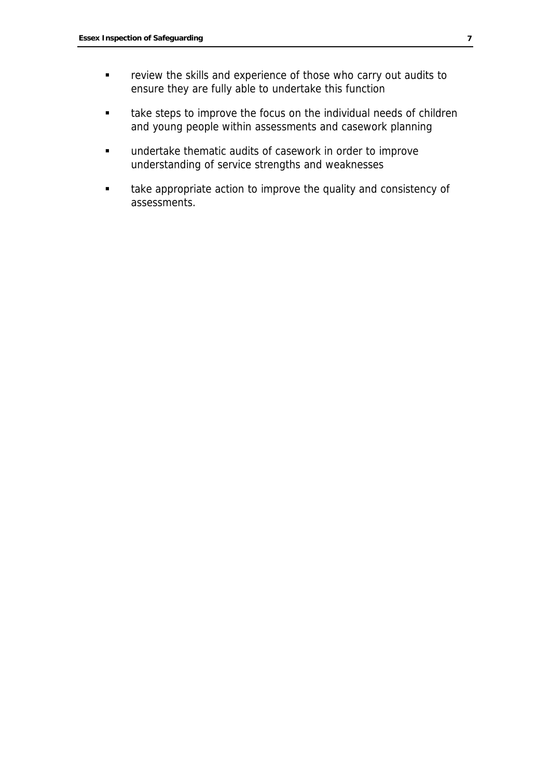- **Fuller** review the skills and experience of those who carry out audits to ensure they are fully able to undertake this function
- **take steps to improve the focus on the individual needs of children** and young people within assessments and casework planning
- undertake thematic audits of casework in order to improve understanding of service strengths and weaknesses
- **take appropriate action to improve the quality and consistency of** assessments.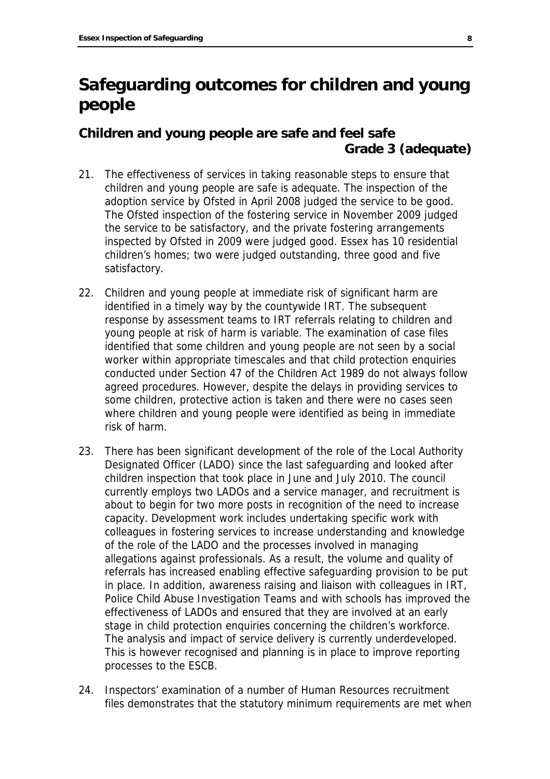## **Safeguarding outcomes for children and young people**

## **Children and young people are safe and feel safe Grade 3 (adequate)**

- 21. The effectiveness of services in taking reasonable steps to ensure that children and young people are safe is adequate. The inspection of the adoption service by Ofsted in April 2008 judged the service to be good. The Ofsted inspection of the fostering service in November 2009 judged the service to be satisfactory, and the private fostering arrangements inspected by Ofsted in 2009 were judged good. Essex has 10 residential children's homes; two were judged outstanding, three good and five satisfactory.
- 22. Children and young people at immediate risk of significant harm are identified in a timely way by the countywide IRT. The subsequent response by assessment teams to IRT referrals relating to children and young people at risk of harm is variable. The examination of case files identified that some children and young people are not seen by a social worker within appropriate timescales and that child protection enquiries conducted under Section 47 of the Children Act 1989 do not always follow agreed procedures. However, despite the delays in providing services to some children, protective action is taken and there were no cases seen where children and young people were identified as being in immediate risk of harm.
- 23. There has been significant development of the role of the Local Authority Designated Officer (LADO) since the last safeguarding and looked after children inspection that took place in June and July 2010. The council currently employs two LADOs and a service manager, and recruitment is about to begin for two more posts in recognition of the need to increase capacity. Development work includes undertaking specific work with colleagues in fostering services to increase understanding and knowledge of the role of the LADO and the processes involved in managing allegations against professionals. As a result, the volume and quality of referrals has increased enabling effective safeguarding provision to be put in place. In addition, awareness raising and liaison with colleagues in IRT, Police Child Abuse Investigation Teams and with schools has improved the effectiveness of LADOs and ensured that they are involved at an early stage in child protection enquiries concerning the children's workforce. The analysis and impact of service delivery is currently underdeveloped. This is however recognised and planning is in place to improve reporting processes to the ESCB.
- 24. Inspectors' examination of a number of Human Resources recruitment files demonstrates that the statutory minimum requirements are met when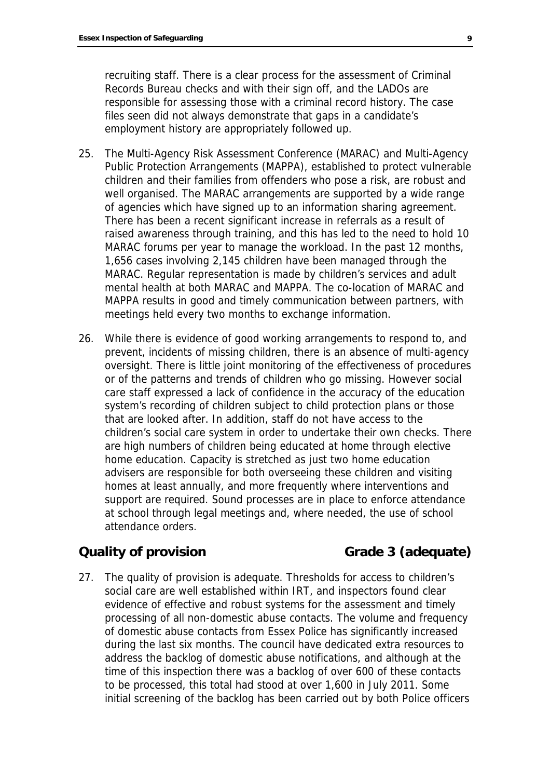recruiting staff. There is a clear process for the assessment of Criminal Records Bureau checks and with their sign off, and the LADOs are responsible for assessing those with a criminal record history. The case files seen did not always demonstrate that gaps in a candidate's employment history are appropriately followed up.

- 25. The Multi-Agency Risk Assessment Conference (MARAC) and Multi-Agency Public Protection Arrangements (MAPPA), established to protect vulnerable children and their families from offenders who pose a risk, are robust and well organised. The MARAC arrangements are supported by a wide range of agencies which have signed up to an information sharing agreement. There has been a recent significant increase in referrals as a result of raised awareness through training, and this has led to the need to hold 10 MARAC forums per year to manage the workload. In the past 12 months, 1,656 cases involving 2,145 children have been managed through the MARAC. Regular representation is made by children's services and adult mental health at both MARAC and MAPPA. The co-location of MARAC and MAPPA results in good and timely communication between partners, with meetings held every two months to exchange information.
- 26. While there is evidence of good working arrangements to respond to, and prevent, incidents of missing children, there is an absence of multi-agency oversight. There is little joint monitoring of the effectiveness of procedures or of the patterns and trends of children who go missing. However social care staff expressed a lack of confidence in the accuracy of the education system's recording of children subject to child protection plans or those that are looked after. In addition, staff do not have access to the children's social care system in order to undertake their own checks. There are high numbers of children being educated at home through elective home education. Capacity is stretched as just two home education advisers are responsible for both overseeing these children and visiting homes at least annually, and more frequently where interventions and support are required. Sound processes are in place to enforce attendance at school through legal meetings and, where needed, the use of school attendance orders.

## **Quality of provision Grade 3 (adequate)**

27. The quality of provision is adequate. Thresholds for access to children's social care are well established within IRT, and inspectors found clear evidence of effective and robust systems for the assessment and timely processing of all non-domestic abuse contacts. The volume and frequency of domestic abuse contacts from Essex Police has significantly increased during the last six months. The council have dedicated extra resources to address the backlog of domestic abuse notifications, and although at the time of this inspection there was a backlog of over 600 of these contacts to be processed, this total had stood at over 1,600 in July 2011. Some initial screening of the backlog has been carried out by both Police officers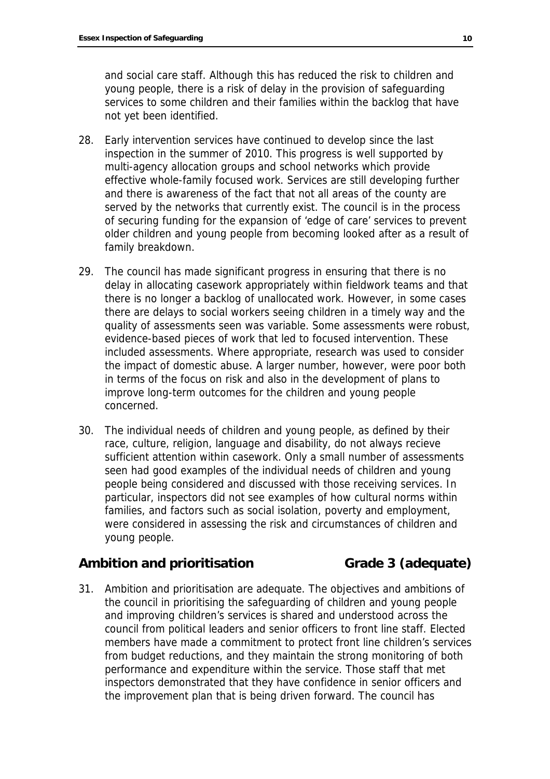and social care staff. Although this has reduced the risk to children and young people, there is a risk of delay in the provision of safeguarding services to some children and their families within the backlog that have not yet been identified.

- 28. Early intervention services have continued to develop since the last inspection in the summer of 2010. This progress is well supported by multi-agency allocation groups and school networks which provide effective whole-family focused work. Services are still developing further and there is awareness of the fact that not all areas of the county are served by the networks that currently exist. The council is in the process of securing funding for the expansion of 'edge of care' services to prevent older children and young people from becoming looked after as a result of family breakdown.
- 29. The council has made significant progress in ensuring that there is no delay in allocating casework appropriately within fieldwork teams and that there is no longer a backlog of unallocated work. However, in some cases there are delays to social workers seeing children in a timely way and the quality of assessments seen was variable. Some assessments were robust, evidence-based pieces of work that led to focused intervention. These included assessments. Where appropriate, research was used to consider the impact of domestic abuse. A larger number, however, were poor both in terms of the focus on risk and also in the development of plans to improve long-term outcomes for the children and young people concerned.
- 30. The individual needs of children and young people, as defined by their race, culture, religion, language and disability, do not always recieve sufficient attention within casework. Only a small number of assessments seen had good examples of the individual needs of children and young people being considered and discussed with those receiving services. In particular, inspectors did not see examples of how cultural norms within families, and factors such as social isolation, poverty and employment, were considered in assessing the risk and circumstances of children and young people.

### Ambition and prioritisation **Grade 3** (adequate)

31. Ambition and prioritisation are adequate. The objectives and ambitions of the council in prioritising the safeguarding of children and young people and improving children's services is shared and understood across the council from political leaders and senior officers to front line staff. Elected members have made a commitment to protect front line children's services from budget reductions, and they maintain the strong monitoring of both performance and expenditure within the service. Those staff that met inspectors demonstrated that they have confidence in senior officers and the improvement plan that is being driven forward. The council has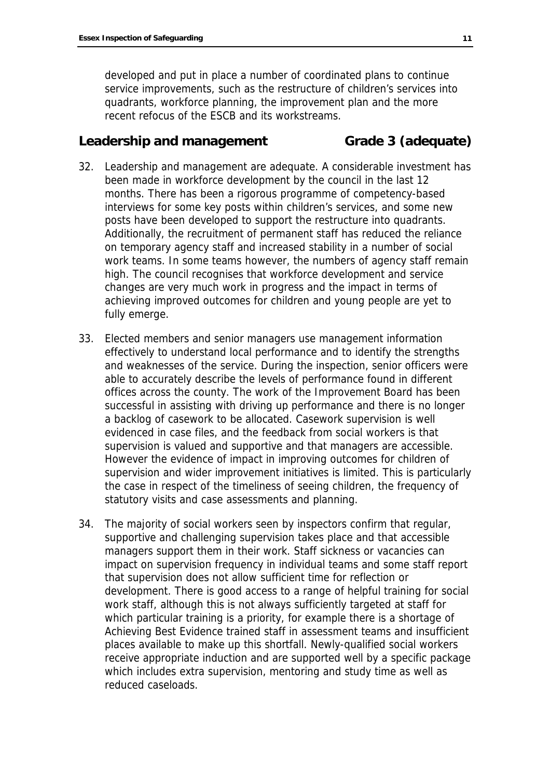developed and put in place a number of coordinated plans to continue service improvements, such as the restructure of children's services into quadrants, workforce planning, the improvement plan and the more recent refocus of the ESCB and its workstreams.

### Leadership and management Grade 3 (adequate)

- 32. Leadership and management are adequate. A considerable investment has been made in workforce development by the council in the last 12 months. There has been a rigorous programme of competency-based interviews for some key posts within children's services, and some new posts have been developed to support the restructure into quadrants. Additionally, the recruitment of permanent staff has reduced the reliance on temporary agency staff and increased stability in a number of social work teams. In some teams however, the numbers of agency staff remain high. The council recognises that workforce development and service changes are very much work in progress and the impact in terms of achieving improved outcomes for children and young people are yet to fully emerge.
- 33. Elected members and senior managers use management information effectively to understand local performance and to identify the strengths and weaknesses of the service. During the inspection, senior officers were able to accurately describe the levels of performance found in different offices across the county. The work of the Improvement Board has been successful in assisting with driving up performance and there is no longer a backlog of casework to be allocated. Casework supervision is well evidenced in case files, and the feedback from social workers is that supervision is valued and supportive and that managers are accessible. However the evidence of impact in improving outcomes for children of supervision and wider improvement initiatives is limited. This is particularly the case in respect of the timeliness of seeing children, the frequency of statutory visits and case assessments and planning.
- 34. The majority of social workers seen by inspectors confirm that regular, supportive and challenging supervision takes place and that accessible managers support them in their work. Staff sickness or vacancies can impact on supervision frequency in individual teams and some staff report that supervision does not allow sufficient time for reflection or development. There is good access to a range of helpful training for social work staff, although this is not always sufficiently targeted at staff for which particular training is a priority, for example there is a shortage of Achieving Best Evidence trained staff in assessment teams and insufficient places available to make up this shortfall. Newly-qualified social workers receive appropriate induction and are supported well by a specific package which includes extra supervision, mentoring and study time as well as reduced caseloads.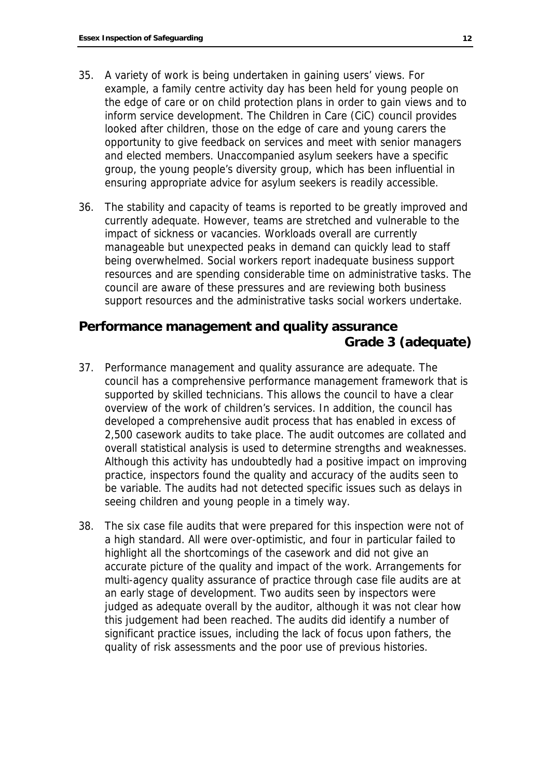- 35. A variety of work is being undertaken in gaining users' views. For example, a family centre activity day has been held for young people on the edge of care or on child protection plans in order to gain views and to inform service development. The Children in Care (CiC) council provides looked after children, those on the edge of care and young carers the opportunity to give feedback on services and meet with senior managers and elected members. Unaccompanied asylum seekers have a specific group, the young people's diversity group, which has been influential in ensuring appropriate advice for asylum seekers is readily accessible.
- 36. The stability and capacity of teams is reported to be greatly improved and currently adequate. However, teams are stretched and vulnerable to the impact of sickness or vacancies. Workloads overall are currently manageable but unexpected peaks in demand can quickly lead to staff being overwhelmed. Social workers report inadequate business support resources and are spending considerable time on administrative tasks. The council are aware of these pressures and are reviewing both business support resources and the administrative tasks social workers undertake.

## **Performance management and quality assurance Grade 3 (adequate)**

- 37. Performance management and quality assurance are adequate. The council has a comprehensive performance management framework that is supported by skilled technicians. This allows the council to have a clear overview of the work of children's services. In addition, the council has developed a comprehensive audit process that has enabled in excess of 2,500 casework audits to take place. The audit outcomes are collated and overall statistical analysis is used to determine strengths and weaknesses. Although this activity has undoubtedly had a positive impact on improving practice, inspectors found the quality and accuracy of the audits seen to be variable. The audits had not detected specific issues such as delays in seeing children and young people in a timely way.
- 38. The six case file audits that were prepared for this inspection were not of a high standard. All were over-optimistic, and four in particular failed to highlight all the shortcomings of the casework and did not give an accurate picture of the quality and impact of the work. Arrangements for multi-agency quality assurance of practice through case file audits are at an early stage of development. Two audits seen by inspectors were judged as adequate overall by the auditor, although it was not clear how this judgement had been reached. The audits did identify a number of significant practice issues, including the lack of focus upon fathers, the quality of risk assessments and the poor use of previous histories.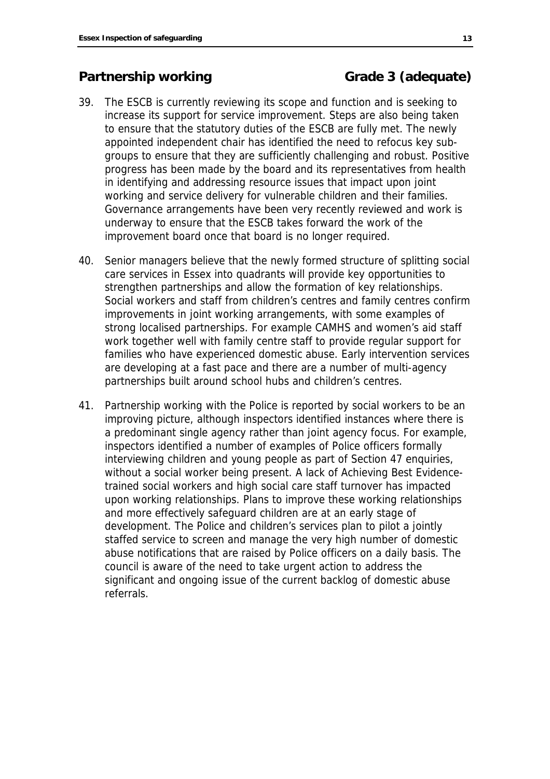## **Partnership working Canadian Construction Carade 3 (adequate)**

- 39. The ESCB is currently reviewing its scope and function and is seeking to increase its support for service improvement. Steps are also being taken to ensure that the statutory duties of the ESCB are fully met. The newly appointed independent chair has identified the need to refocus key subgroups to ensure that they are sufficiently challenging and robust. Positive progress has been made by the board and its representatives from health in identifying and addressing resource issues that impact upon joint working and service delivery for vulnerable children and their families. Governance arrangements have been very recently reviewed and work is underway to ensure that the ESCB takes forward the work of the improvement board once that board is no longer required.
- 40. Senior managers believe that the newly formed structure of splitting social care services in Essex into quadrants will provide key opportunities to strengthen partnerships and allow the formation of key relationships. Social workers and staff from children's centres and family centres confirm improvements in joint working arrangements, with some examples of strong localised partnerships. For example CAMHS and women's aid staff work together well with family centre staff to provide regular support for families who have experienced domestic abuse. Early intervention services are developing at a fast pace and there are a number of multi-agency partnerships built around school hubs and children's centres.
- 41. Partnership working with the Police is reported by social workers to be an improving picture, although inspectors identified instances where there is a predominant single agency rather than joint agency focus. For example, inspectors identified a number of examples of Police officers formally interviewing children and young people as part of Section 47 enquiries, without a social worker being present. A lack of Achieving Best Evidencetrained social workers and high social care staff turnover has impacted upon working relationships. Plans to improve these working relationships and more effectively safeguard children are at an early stage of development. The Police and children's services plan to pilot a jointly staffed service to screen and manage the very high number of domestic abuse notifications that are raised by Police officers on a daily basis. The council is aware of the need to take urgent action to address the significant and ongoing issue of the current backlog of domestic abuse referrals.